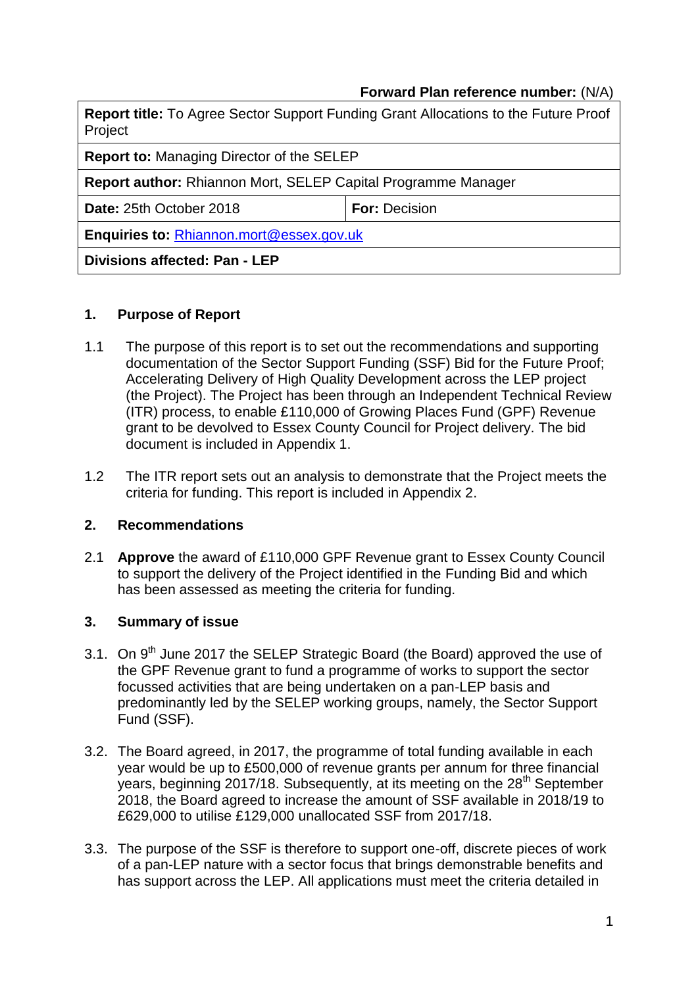## **Forward Plan reference number:** (N/A)

| Project                                                              | <b>Report title:</b> To Agree Sector Support Funding Grant Allocations to the Future Proof |  |  |
|----------------------------------------------------------------------|--------------------------------------------------------------------------------------------|--|--|
| <b>Report to: Managing Director of the SELEP</b>                     |                                                                                            |  |  |
| <b>Report author:</b> Rhiannon Mort, SELEP Capital Programme Manager |                                                                                            |  |  |
| Date: 25th October 2018                                              | <b>For: Decision</b>                                                                       |  |  |
| Enquiries to: Rhiannon.mort@essex.gov.uk                             |                                                                                            |  |  |
| Divisions affected: Pan - LEP                                        |                                                                                            |  |  |

#### **1. Purpose of Report**

- 1.1 The purpose of this report is to set out the recommendations and supporting documentation of the Sector Support Funding (SSF) Bid for the Future Proof; Accelerating Delivery of High Quality Development across the LEP project (the Project). The Project has been through an Independent Technical Review (ITR) process, to enable £110,000 of Growing Places Fund (GPF) Revenue grant to be devolved to Essex County Council for Project delivery. The bid document is included in Appendix 1.
- 1.2 The ITR report sets out an analysis to demonstrate that the Project meets the criteria for funding. This report is included in Appendix 2.

#### **2. Recommendations**

2.1 **Approve** the award of £110,000 GPF Revenue grant to Essex County Council to support the delivery of the Project identified in the Funding Bid and which has been assessed as meeting the criteria for funding.

#### **3. Summary of issue**

- 3.1. On 9<sup>th</sup> June 2017 the SELEP Strategic Board (the Board) approved the use of the GPF Revenue grant to fund a programme of works to support the sector focussed activities that are being undertaken on a pan-LEP basis and predominantly led by the SELEP working groups, namely, the Sector Support Fund (SSF).
- 3.2. The Board agreed, in 2017, the programme of total funding available in each year would be up to £500,000 of revenue grants per annum for three financial years, beginning 2017/18. Subsequently, at its meeting on the 28<sup>th</sup> September 2018, the Board agreed to increase the amount of SSF available in 2018/19 to £629,000 to utilise £129,000 unallocated SSF from 2017/18.
- 3.3. The purpose of the SSF is therefore to support one-off, discrete pieces of work of a pan-LEP nature with a sector focus that brings demonstrable benefits and has support across the LEP. All applications must meet the criteria detailed in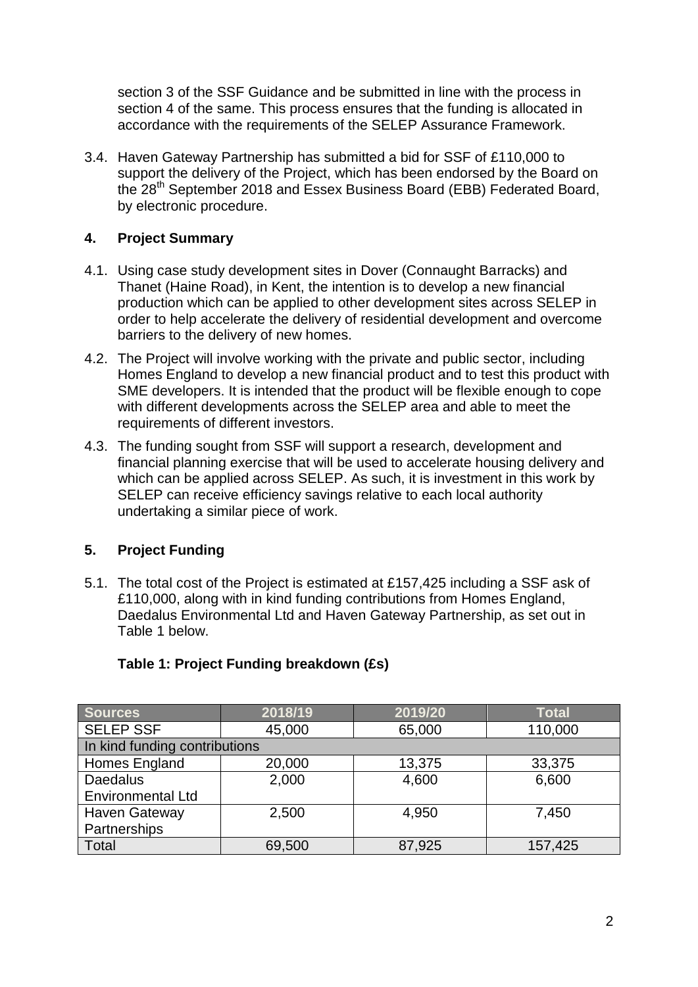section 3 of the SSF Guidance and be submitted in line with the process in section 4 of the same. This process ensures that the funding is allocated in accordance with the requirements of the SELEP Assurance Framework.

3.4. Haven Gateway Partnership has submitted a bid for SSF of £110,000 to support the delivery of the Project, which has been endorsed by the Board on the 28th September 2018 and Essex Business Board (EBB) Federated Board, by electronic procedure.

# **4. Project Summary**

- 4.1. Using case study development sites in Dover (Connaught Barracks) and Thanet (Haine Road), in Kent, the intention is to develop a new financial production which can be applied to other development sites across SELEP in order to help accelerate the delivery of residential development and overcome barriers to the delivery of new homes.
- 4.2. The Project will involve working with the private and public sector, including Homes England to develop a new financial product and to test this product with SME developers. It is intended that the product will be flexible enough to cope with different developments across the SELEP area and able to meet the requirements of different investors.
- 4.3. The funding sought from SSF will support a research, development and financial planning exercise that will be used to accelerate housing delivery and which can be applied across SELEP. As such, it is investment in this work by SELEP can receive efficiency savings relative to each local authority undertaking a similar piece of work.

## **5. Project Funding**

5.1. The total cost of the Project is estimated at £157,425 including a SSF ask of £110,000, along with in kind funding contributions from Homes England, Daedalus Environmental Ltd and Haven Gateway Partnership, as set out in Table 1 below.

| <b>Sources</b>                | 2018/19 | 2019/20 | <b>Total</b> |  |  |  |
|-------------------------------|---------|---------|--------------|--|--|--|
| <b>SELEP SSF</b>              | 45,000  | 65,000  | 110,000      |  |  |  |
| In kind funding contributions |         |         |              |  |  |  |
| Homes England                 | 20,000  | 13,375  | 33,375       |  |  |  |
| <b>Daedalus</b>               | 2,000   | 4,600   | 6,600        |  |  |  |
| <b>Environmental Ltd</b>      |         |         |              |  |  |  |
| Haven Gateway                 | 2,500   | 4,950   | 7,450        |  |  |  |
| Partnerships                  |         |         |              |  |  |  |
| Total                         | 69,500  | 87,925  | 157,425      |  |  |  |

## **Table 1: Project Funding breakdown (£s)**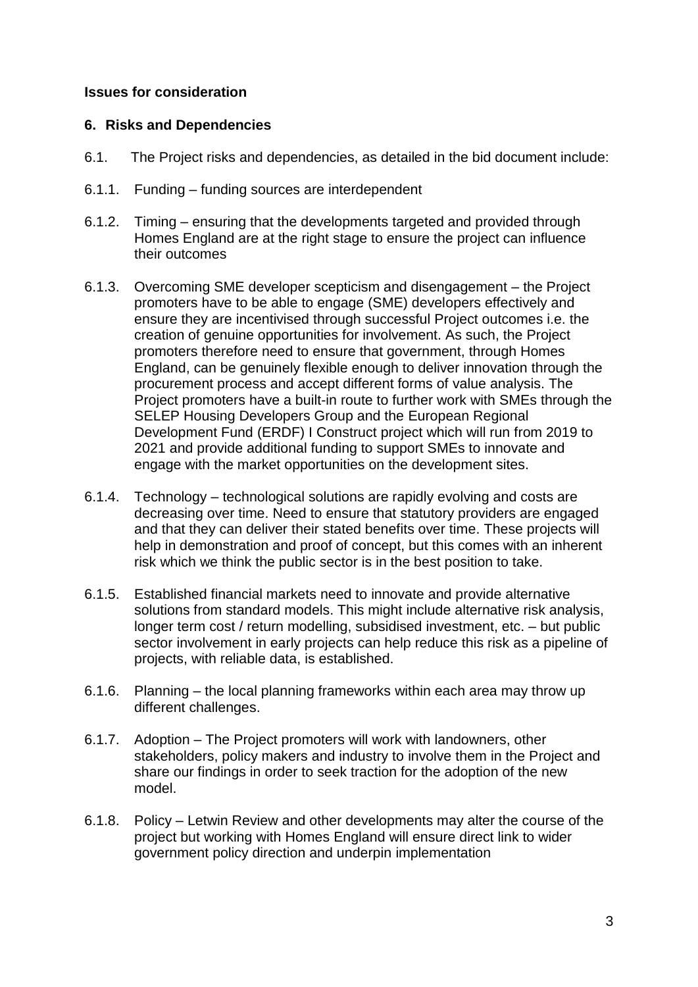### **Issues for consideration**

#### **6. Risks and Dependencies**

- 6.1. The Project risks and dependencies, as detailed in the bid document include:
- 6.1.1. Funding funding sources are interdependent
- 6.1.2. Timing ensuring that the developments targeted and provided through Homes England are at the right stage to ensure the project can influence their outcomes
- 6.1.3. Overcoming SME developer scepticism and disengagement the Project promoters have to be able to engage (SME) developers effectively and ensure they are incentivised through successful Project outcomes i.e. the creation of genuine opportunities for involvement. As such, the Project promoters therefore need to ensure that government, through Homes England, can be genuinely flexible enough to deliver innovation through the procurement process and accept different forms of value analysis. The Project promoters have a built-in route to further work with SMEs through the SELEP Housing Developers Group and the European Regional Development Fund (ERDF) I Construct project which will run from 2019 to 2021 and provide additional funding to support SMEs to innovate and engage with the market opportunities on the development sites.
- 6.1.4. Technology technological solutions are rapidly evolving and costs are decreasing over time. Need to ensure that statutory providers are engaged and that they can deliver their stated benefits over time. These projects will help in demonstration and proof of concept, but this comes with an inherent risk which we think the public sector is in the best position to take.
- 6.1.5. Established financial markets need to innovate and provide alternative solutions from standard models. This might include alternative risk analysis, longer term cost / return modelling, subsidised investment, etc. – but public sector involvement in early projects can help reduce this risk as a pipeline of projects, with reliable data, is established.
- 6.1.6. Planning the local planning frameworks within each area may throw up different challenges.
- 6.1.7. Adoption The Project promoters will work with landowners, other stakeholders, policy makers and industry to involve them in the Project and share our findings in order to seek traction for the adoption of the new model.
- 6.1.8. Policy Letwin Review and other developments may alter the course of the project but working with Homes England will ensure direct link to wider government policy direction and underpin implementation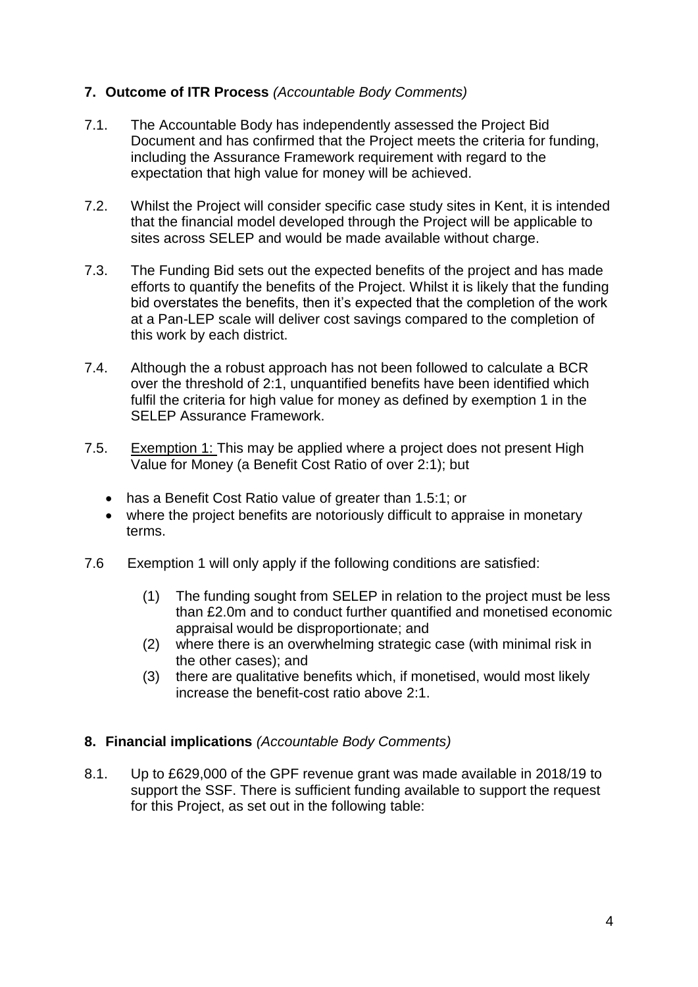## **7. Outcome of ITR Process** *(Accountable Body Comments)*

- 7.1. The Accountable Body has independently assessed the Project Bid Document and has confirmed that the Project meets the criteria for funding, including the Assurance Framework requirement with regard to the expectation that high value for money will be achieved.
- 7.2. Whilst the Project will consider specific case study sites in Kent, it is intended that the financial model developed through the Project will be applicable to sites across SELEP and would be made available without charge.
- 7.3. The Funding Bid sets out the expected benefits of the project and has made efforts to quantify the benefits of the Project. Whilst it is likely that the funding bid overstates the benefits, then it's expected that the completion of the work at a Pan-LEP scale will deliver cost savings compared to the completion of this work by each district.
- 7.4. Although the a robust approach has not been followed to calculate a BCR over the threshold of 2:1, unquantified benefits have been identified which fulfil the criteria for high value for money as defined by exemption 1 in the SELEP Assurance Framework.
- 7.5. Exemption 1: This may be applied where a project does not present High Value for Money (a Benefit Cost Ratio of over 2:1); but
	- has a Benefit Cost Ratio value of greater than 1.5:1; or
	- where the project benefits are notoriously difficult to appraise in monetary terms.
- 7.6 Exemption 1 will only apply if the following conditions are satisfied:
	- (1) The funding sought from SELEP in relation to the project must be less than £2.0m and to conduct further quantified and monetised economic appraisal would be disproportionate; and
	- (2) where there is an overwhelming strategic case (with minimal risk in the other cases); and
	- (3) there are qualitative benefits which, if monetised, would most likely increase the benefit-cost ratio above 2:1.

#### **8. Financial implications** *(Accountable Body Comments)*

8.1. Up to £629,000 of the GPF revenue grant was made available in 2018/19 to support the SSF. There is sufficient funding available to support the request for this Project, as set out in the following table: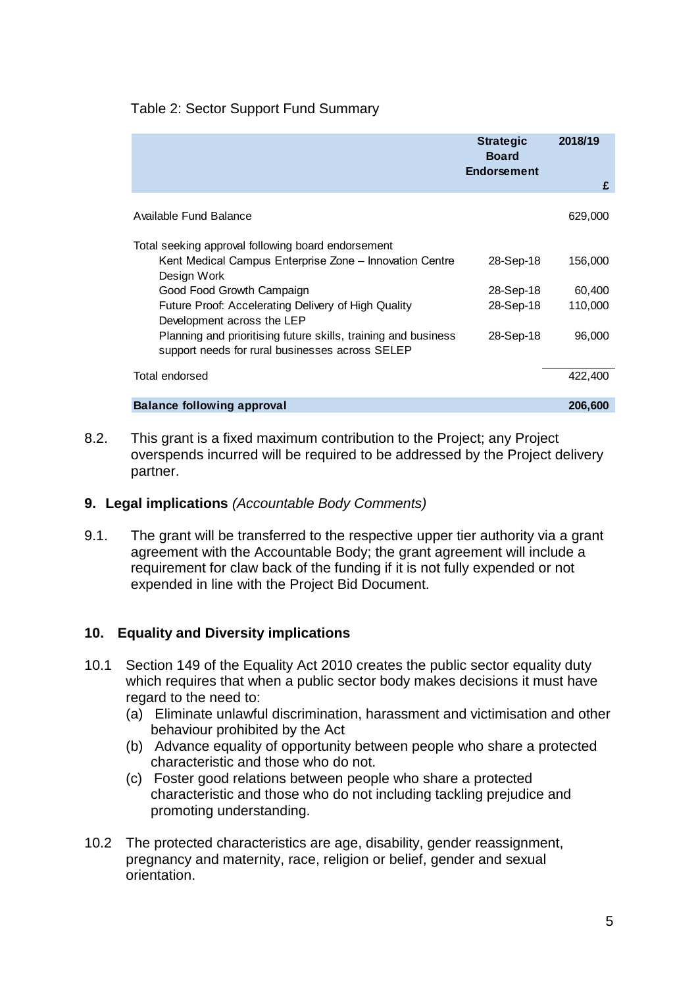## Table 2: Sector Support Fund Summary

|                                                                                                                                                                                                        | <b>Strategic</b><br><b>Board</b><br><b>Endorsement</b> | 2018/19<br>£      |
|--------------------------------------------------------------------------------------------------------------------------------------------------------------------------------------------------------|--------------------------------------------------------|-------------------|
| Available Fund Balance                                                                                                                                                                                 |                                                        | 629,000           |
| Total seeking approval following board endorsement<br>Kent Medical Campus Enterprise Zone - Innovation Centre<br>Design Work<br>Good Food Growth Campaign                                              | 28-Sep-18<br>28-Sep-18                                 | 156,000<br>60,400 |
| Future Proof: Accelerating Delivery of High Quality<br>Development across the LEP<br>Planning and prioritising future skills, training and business<br>support needs for rural businesses across SELEP | 28-Sep-18<br>28-Sep-18                                 | 110,000<br>96,000 |
| Total endorsed                                                                                                                                                                                         |                                                        | 422,400           |
| <b>Balance following approval</b>                                                                                                                                                                      |                                                        | 206,600           |

8.2. This grant is a fixed maximum contribution to the Project; any Project overspends incurred will be required to be addressed by the Project delivery partner.

#### **9. Legal implications** *(Accountable Body Comments)*

9.1. The grant will be transferred to the respective upper tier authority via a grant agreement with the Accountable Body; the grant agreement will include a requirement for claw back of the funding if it is not fully expended or not expended in line with the Project Bid Document.

## **10. Equality and Diversity implications**

- 10.1 Section 149 of the Equality Act 2010 creates the public sector equality duty which requires that when a public sector body makes decisions it must have regard to the need to:
	- (a) Eliminate unlawful discrimination, harassment and victimisation and other behaviour prohibited by the Act
	- (b) Advance equality of opportunity between people who share a protected characteristic and those who do not.
	- (c) Foster good relations between people who share a protected characteristic and those who do not including tackling prejudice and promoting understanding.
- 10.2 The protected characteristics are age, disability, gender reassignment, pregnancy and maternity, race, religion or belief, gender and sexual orientation.